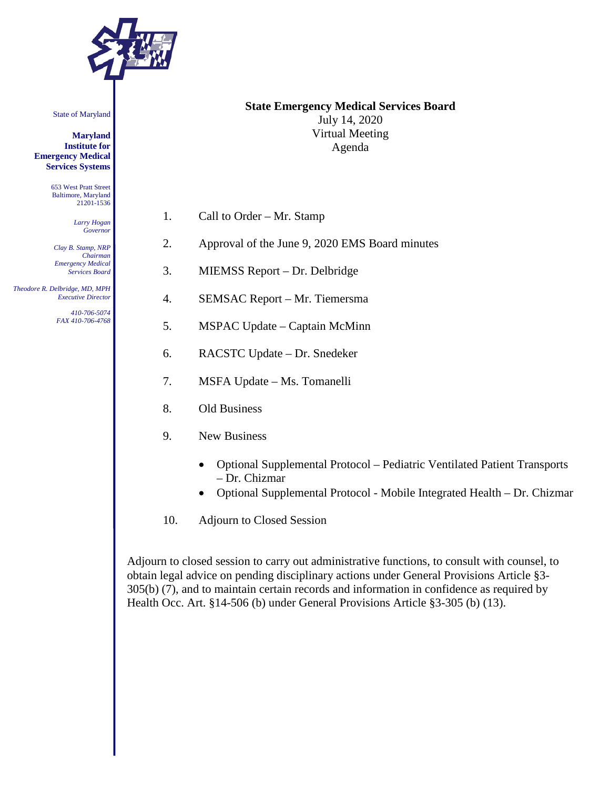

State of Maryland

**Maryland Institute for Emergency Medical Services Systems**

> 653 West Pratt Street Baltimore, Maryland 21201-1536

> > *Larry Hogan Governor*

*Clay B. Stamp, NRP Chairman Emergency Medical Services Board*

 *Theodore R. Delbridge, MD, MPH Executive Director*

*410-706-5074 FAX 410-706-4768*

### **State Emergency Medical Services Board** July 14, 2020 Virtual Meeting Agenda

- 1. Call to Order Mr. Stamp
- 2. Approval of the June 9, 2020 EMS Board minutes
- 3. MIEMSS Report Dr. Delbridge
- 4. SEMSAC Report Mr. Tiemersma
- 5. MSPAC Update Captain McMinn
- 6. RACSTC Update Dr. Snedeker
- 7. MSFA Update Ms. Tomanelli
- 8. Old Business
- 9. New Business
	- Optional Supplemental Protocol Pediatric Ventilated Patient Transports – Dr. Chizmar
	- Optional Supplemental Protocol Mobile Integrated Health Dr. Chizmar
- 10. Adjourn to Closed Session

Adjourn to closed session to carry out administrative functions, to consult with counsel, to obtain legal advice on pending disciplinary actions under General Provisions Article §3- 305(b) (7), and to maintain certain records and information in confidence as required by Health Occ. Art. §14-506 (b) under General Provisions Article §3-305 (b) (13).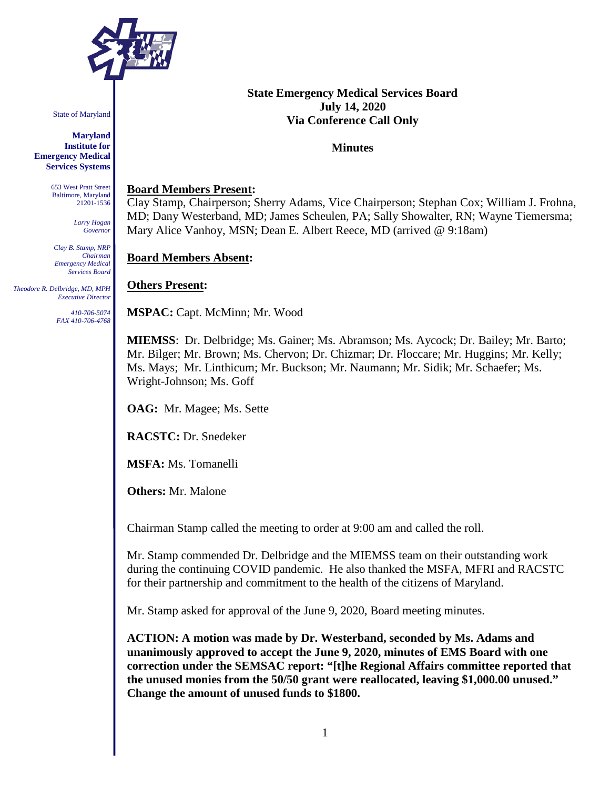

State of Maryland

**Maryland Institute for Emergency Medical Services Systems**

> 653 West Pratt Street Baltimore, Maryland 21201-1536

> > *Larry Hogan Governor*

*Clay B. Stamp, NRP Chairman Emergency Medical Services Board*

 *Theodore R. Delbridge, MD, MPH Executive Director*

> *410-706-5074 FAX 410-706-4768*

## **State Emergency Medical Services Board July 14, 2020 Via Conference Call Only**

#### **Minutes**

#### **Board Members Present:**

Clay Stamp, Chairperson; Sherry Adams, Vice Chairperson; Stephan Cox; William J. Frohna, MD; Dany Westerband, MD; James Scheulen, PA; Sally Showalter, RN; Wayne Tiemersma; Mary Alice Vanhoy, MSN; Dean E. Albert Reece, MD (arrived @ 9:18am)

### **Board Members Absent:**

### **Others Present:**

**MSPAC:** Capt. McMinn; Mr. Wood

**MIEMSS**: Dr. Delbridge; Ms. Gainer; Ms. Abramson; Ms. Aycock; Dr. Bailey; Mr. Barto; Mr. Bilger; Mr. Brown; Ms. Chervon; Dr. Chizmar; Dr. Floccare; Mr. Huggins; Mr. Kelly; Ms. Mays; Mr. Linthicum; Mr. Buckson; Mr. Naumann; Mr. Sidik; Mr. Schaefer; Ms. Wright-Johnson; Ms. Goff

**OAG:** Mr. Magee; Ms. Sette

**RACSTC:** Dr. Snedeker

**MSFA:** Ms. Tomanelli

**Others:** Mr. Malone

Chairman Stamp called the meeting to order at 9:00 am and called the roll.

Mr. Stamp commended Dr. Delbridge and the MIEMSS team on their outstanding work during the continuing COVID pandemic. He also thanked the MSFA, MFRI and RACSTC for their partnership and commitment to the health of the citizens of Maryland.

Mr. Stamp asked for approval of the June 9, 2020, Board meeting minutes.

**ACTION: A motion was made by Dr. Westerband, seconded by Ms. Adams and unanimously approved to accept the June 9, 2020, minutes of EMS Board with one correction under the SEMSAC report: "[t]he Regional Affairs committee reported that the unused monies from the 50/50 grant were reallocated, leaving \$1,000.00 unused." Change the amount of unused funds to \$1800.**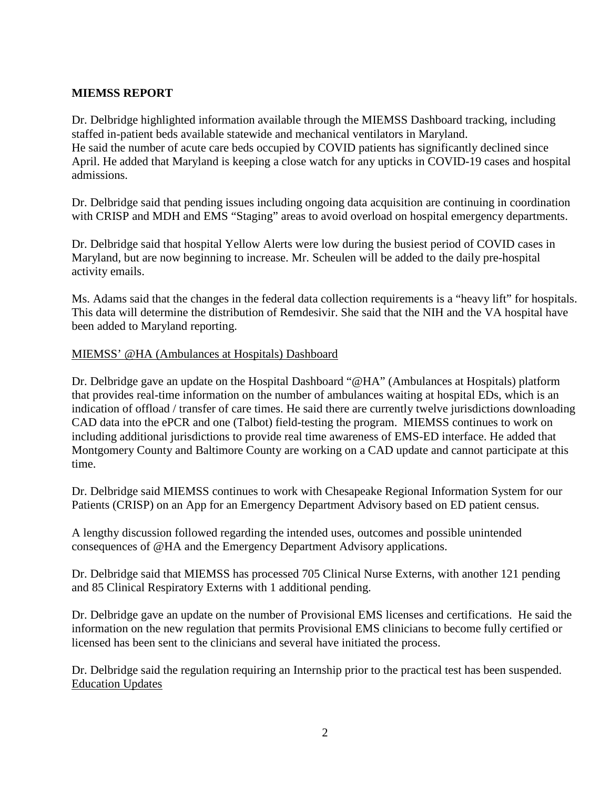## **MIEMSS REPORT**

Dr. Delbridge highlighted information available through the MIEMSS Dashboard tracking, including staffed in-patient beds available statewide and mechanical ventilators in Maryland. He said the number of acute care beds occupied by COVID patients has significantly declined since April. He added that Maryland is keeping a close watch for any upticks in COVID-19 cases and hospital admissions.

Dr. Delbridge said that pending issues including ongoing data acquisition are continuing in coordination with CRISP and MDH and EMS "Staging" areas to avoid overload on hospital emergency departments.

Dr. Delbridge said that hospital Yellow Alerts were low during the busiest period of COVID cases in Maryland, but are now beginning to increase. Mr. Scheulen will be added to the daily pre-hospital activity emails.

Ms. Adams said that the changes in the federal data collection requirements is a "heavy lift" for hospitals. This data will determine the distribution of Remdesivir. She said that the NIH and the VA hospital have been added to Maryland reporting.

### MIEMSS' @HA (Ambulances at Hospitals) Dashboard

Dr. Delbridge gave an update on the Hospital Dashboard "@HA" (Ambulances at Hospitals) platform that provides real-time information on the number of ambulances waiting at hospital EDs, which is an indication of offload / transfer of care times. He said there are currently twelve jurisdictions downloading CAD data into the ePCR and one (Talbot) field-testing the program. MIEMSS continues to work on including additional jurisdictions to provide real time awareness of EMS-ED interface. He added that Montgomery County and Baltimore County are working on a CAD update and cannot participate at this time.

Dr. Delbridge said MIEMSS continues to work with Chesapeake Regional Information System for our Patients (CRISP) on an App for an Emergency Department Advisory based on ED patient census.

A lengthy discussion followed regarding the intended uses, outcomes and possible unintended consequences of @HA and the Emergency Department Advisory applications.

Dr. Delbridge said that MIEMSS has processed 705 Clinical Nurse Externs, with another 121 pending and 85 Clinical Respiratory Externs with 1 additional pending.

Dr. Delbridge gave an update on the number of Provisional EMS licenses and certifications. He said the information on the new regulation that permits Provisional EMS clinicians to become fully certified or licensed has been sent to the clinicians and several have initiated the process.

Dr. Delbridge said the regulation requiring an Internship prior to the practical test has been suspended. Education Updates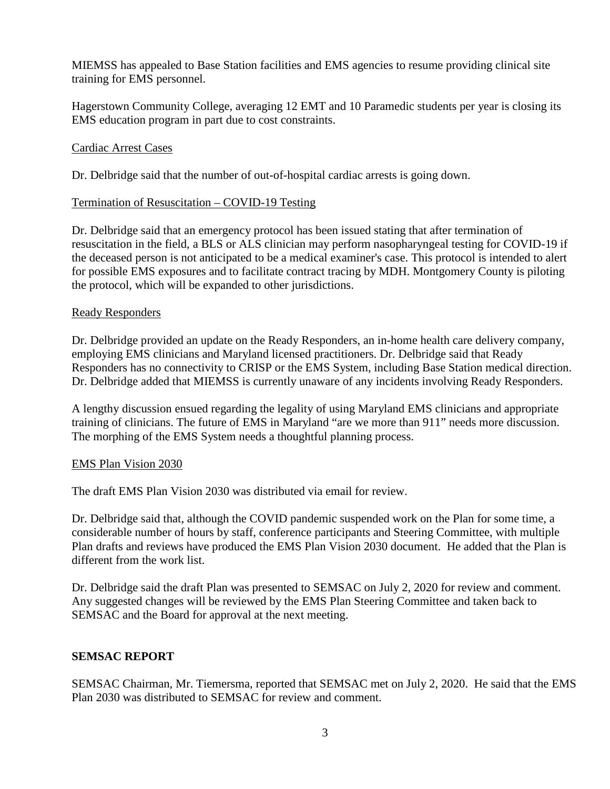MIEMSS has appealed to Base Station facilities and EMS agencies to resume providing clinical site training for EMS personnel.

Hagerstown Community College, averaging 12 EMT and 10 Paramedic students per year is closing its EMS education program in part due to cost constraints.

## Cardiac Arrest Cases

Dr. Delbridge said that the number of out-of-hospital cardiac arrests is going down.

## Termination of Resuscitation – COVID-19 Testing

Dr. Delbridge said that an emergency protocol has been issued stating that after termination of resuscitation in the field, a BLS or ALS clinician may perform nasopharyngeal testing for COVID-19 if the deceased person is not anticipated to be a medical examiner's case. This protocol is intended to alert for possible EMS exposures and to facilitate contract tracing by MDH. Montgomery County is piloting the protocol, which will be expanded to other jurisdictions.

### Ready Responders

Dr. Delbridge provided an update on the Ready Responders, an in-home health care delivery company, employing EMS clinicians and Maryland licensed practitioners. Dr. Delbridge said that Ready Responders has no connectivity to CRISP or the EMS System, including Base Station medical direction. Dr. Delbridge added that MIEMSS is currently unaware of any incidents involving Ready Responders.

A lengthy discussion ensued regarding the legality of using Maryland EMS clinicians and appropriate training of clinicians. The future of EMS in Maryland "are we more than 911" needs more discussion. The morphing of the EMS System needs a thoughtful planning process.

### EMS Plan Vision 2030

The draft EMS Plan Vision 2030 was distributed via email for review.

Dr. Delbridge said that, although the COVID pandemic suspended work on the Plan for some time, a considerable number of hours by staff, conference participants and Steering Committee, with multiple Plan drafts and reviews have produced the EMS Plan Vision 2030 document. He added that the Plan is different from the work list.

Dr. Delbridge said the draft Plan was presented to SEMSAC on July 2, 2020 for review and comment. Any suggested changes will be reviewed by the EMS Plan Steering Committee and taken back to SEMSAC and the Board for approval at the next meeting.

### **SEMSAC REPORT**

SEMSAC Chairman, Mr. Tiemersma, reported that SEMSAC met on July 2, 2020. He said that the EMS Plan 2030 was distributed to SEMSAC for review and comment.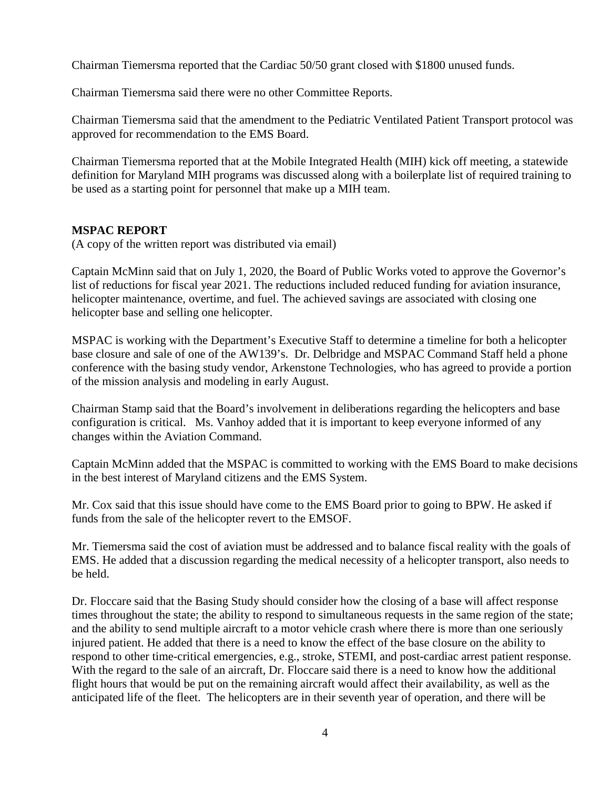Chairman Tiemersma reported that the Cardiac 50/50 grant closed with \$1800 unused funds.

Chairman Tiemersma said there were no other Committee Reports.

Chairman Tiemersma said that the amendment to the Pediatric Ventilated Patient Transport protocol was approved for recommendation to the EMS Board.

Chairman Tiemersma reported that at the Mobile Integrated Health (MIH) kick off meeting, a statewide definition for Maryland MIH programs was discussed along with a boilerplate list of required training to be used as a starting point for personnel that make up a MIH team.

## **MSPAC REPORT**

(A copy of the written report was distributed via email)

Captain McMinn said that on July 1, 2020, the Board of Public Works voted to approve the Governor's list of reductions for fiscal year 2021. The reductions included reduced funding for aviation insurance, helicopter maintenance, overtime, and fuel. The achieved savings are associated with closing one helicopter base and selling one helicopter.

MSPAC is working with the Department's Executive Staff to determine a timeline for both a helicopter base closure and sale of one of the AW139's. Dr. Delbridge and MSPAC Command Staff held a phone conference with the basing study vendor, Arkenstone Technologies, who has agreed to provide a portion of the mission analysis and modeling in early August.

Chairman Stamp said that the Board's involvement in deliberations regarding the helicopters and base configuration is critical. Ms. Vanhoy added that it is important to keep everyone informed of any changes within the Aviation Command.

Captain McMinn added that the MSPAC is committed to working with the EMS Board to make decisions in the best interest of Maryland citizens and the EMS System.

Mr. Cox said that this issue should have come to the EMS Board prior to going to BPW. He asked if funds from the sale of the helicopter revert to the EMSOF.

Mr. Tiemersma said the cost of aviation must be addressed and to balance fiscal reality with the goals of EMS. He added that a discussion regarding the medical necessity of a helicopter transport, also needs to be held.

Dr. Floccare said that the Basing Study should consider how the closing of a base will affect response times throughout the state; the ability to respond to simultaneous requests in the same region of the state; and the ability to send multiple aircraft to a motor vehicle crash where there is more than one seriously injured patient. He added that there is a need to know the effect of the base closure on the ability to respond to other time-critical emergencies, e.g., stroke, STEMI, and post-cardiac arrest patient response. With the regard to the sale of an aircraft, Dr. Floccare said there is a need to know how the additional flight hours that would be put on the remaining aircraft would affect their availability, as well as the anticipated life of the fleet. The helicopters are in their seventh year of operation, and there will be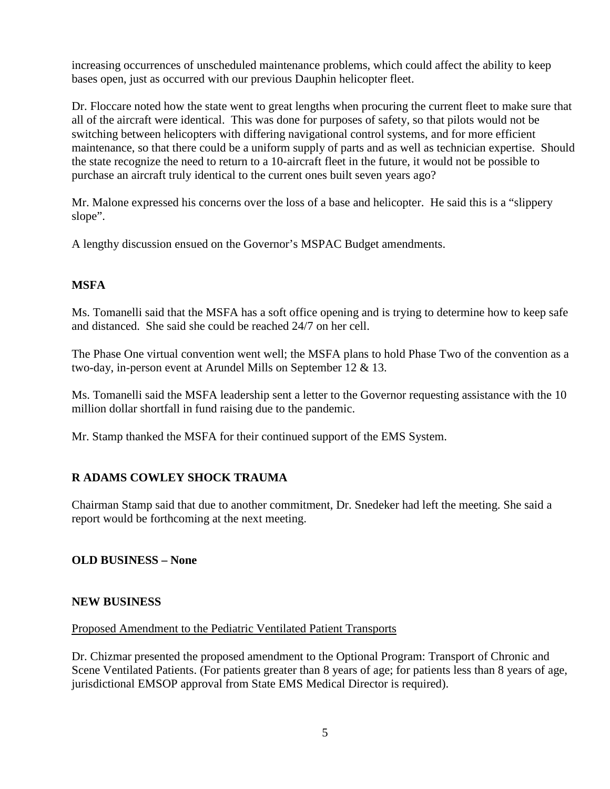increasing occurrences of unscheduled maintenance problems, which could affect the ability to keep bases open, just as occurred with our previous Dauphin helicopter fleet.

Dr. Floccare noted how the state went to great lengths when procuring the current fleet to make sure that all of the aircraft were identical. This was done for purposes of safety, so that pilots would not be switching between helicopters with differing navigational control systems, and for more efficient maintenance, so that there could be a uniform supply of parts and as well as technician expertise. Should the state recognize the need to return to a 10-aircraft fleet in the future, it would not be possible to purchase an aircraft truly identical to the current ones built seven years ago?

Mr. Malone expressed his concerns over the loss of a base and helicopter. He said this is a "slippery slope".

A lengthy discussion ensued on the Governor's MSPAC Budget amendments.

# **MSFA**

Ms. Tomanelli said that the MSFA has a soft office opening and is trying to determine how to keep safe and distanced. She said she could be reached 24/7 on her cell.

The Phase One virtual convention went well; the MSFA plans to hold Phase Two of the convention as a two-day, in-person event at Arundel Mills on September 12 & 13.

Ms. Tomanelli said the MSFA leadership sent a letter to the Governor requesting assistance with the 10 million dollar shortfall in fund raising due to the pandemic.

Mr. Stamp thanked the MSFA for their continued support of the EMS System.

# **R ADAMS COWLEY SHOCK TRAUMA**

Chairman Stamp said that due to another commitment, Dr. Snedeker had left the meeting. She said a report would be forthcoming at the next meeting.

# **OLD BUSINESS – None**

### **NEW BUSINESS**

### Proposed Amendment to the Pediatric Ventilated Patient Transports

Dr. Chizmar presented the proposed amendment to the Optional Program: Transport of Chronic and Scene Ventilated Patients. (For patients greater than 8 years of age; for patients less than 8 years of age, jurisdictional EMSOP approval from State EMS Medical Director is required).